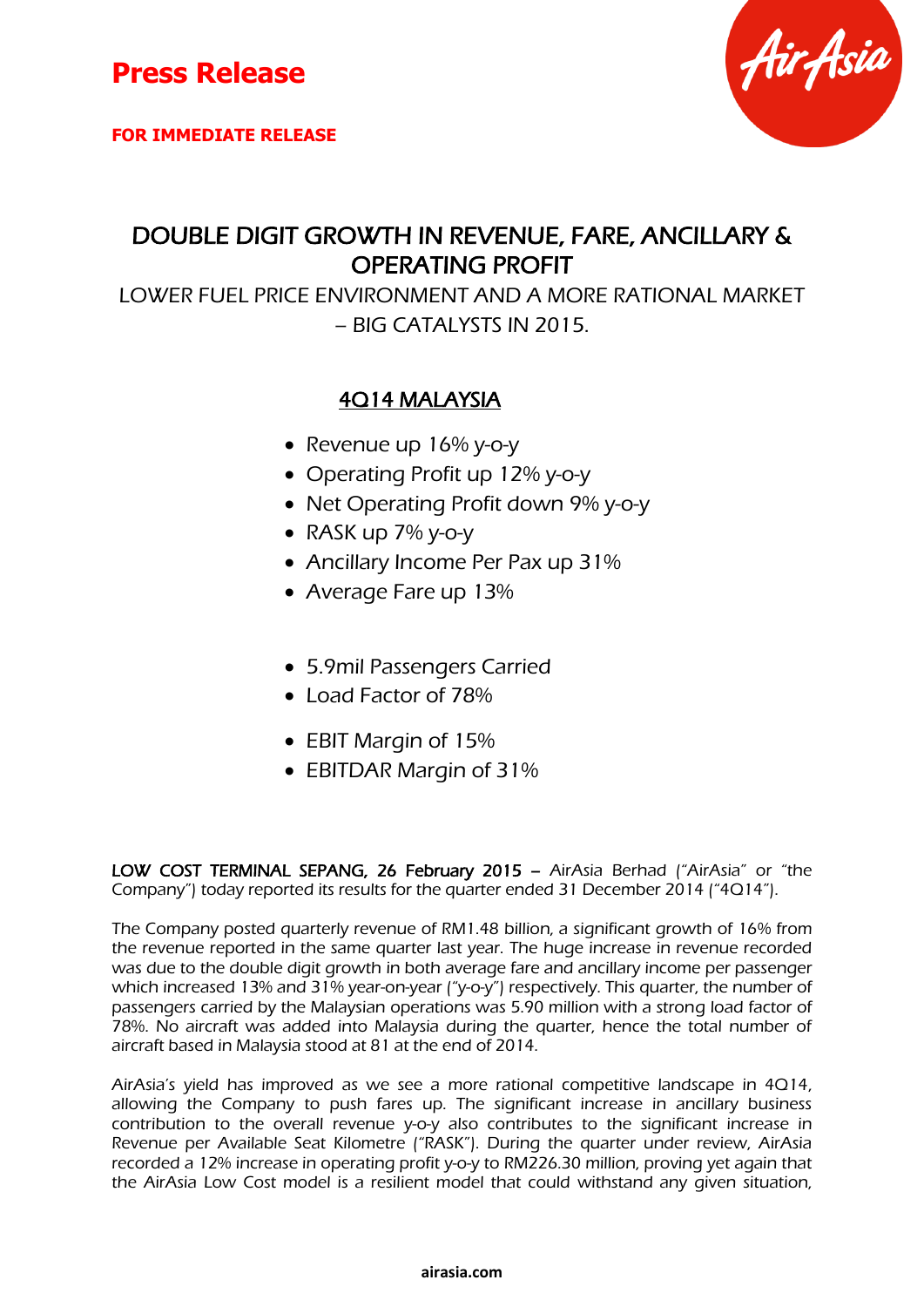**FOR IMMEDIATE RELEASE**



### DOUBLE DIGIT GROWTH IN REVENUE, FARE, ANCILLARY & OPERATING PROFIT

LOWER FUEL PRICE ENVIRONMENT AND A MORE RATIONAL MARKET – BIG CATALYSTS IN 2015.

### 4Q14 MALAYSIA

- Revenue up 16% y-o-y
- Operating Profit up 12% y-o-y
- Net Operating Profit down 9% y-o-y
- RASK up  $7\%$  y-o-y
- Ancillary Income Per Pax up 31%
- Average Fare up 13%
- 5.9mil Passengers Carried
- Load Factor of 78%
- EBIT Margin of 15%
- EBITDAR Margin of 31%

LOW COST TERMINAL SEPANG, 26 February 2015 – AirAsia Berhad ("AirAsia" or "the Company") today reported its results for the quarter ended 31 December 2014 ("4Q14").

The Company posted quarterly revenue of RM1.48 billion, a significant growth of 16% from the revenue reported in the same quarter last year. The huge increase in revenue recorded was due to the double digit growth in both average fare and ancillary income per passenger which increased 13% and 31% year-on-year ("y-o-y") respectively. This quarter, the number of passengers carried by the Malaysian operations was 5.90 million with a strong load factor of 78%. No aircraft was added into Malaysia during the quarter, hence the total number of aircraft based in Malaysia stood at 81 at the end of 2014.

AirAsia's yield has improved as we see a more rational competitive landscape in 4Q14, allowing the Company to push fares up. The significant increase in ancillary business contribution to the overall revenue y-o-y also contributes to the significant increase in Revenue per Available Seat Kilometre ("RASK"). During the quarter under review, AirAsia recorded a 12% increase in operating profit y-o-y to RM226.30 million, proving yet again that the AirAsia Low Cost model is a resilient model that could withstand any given situation,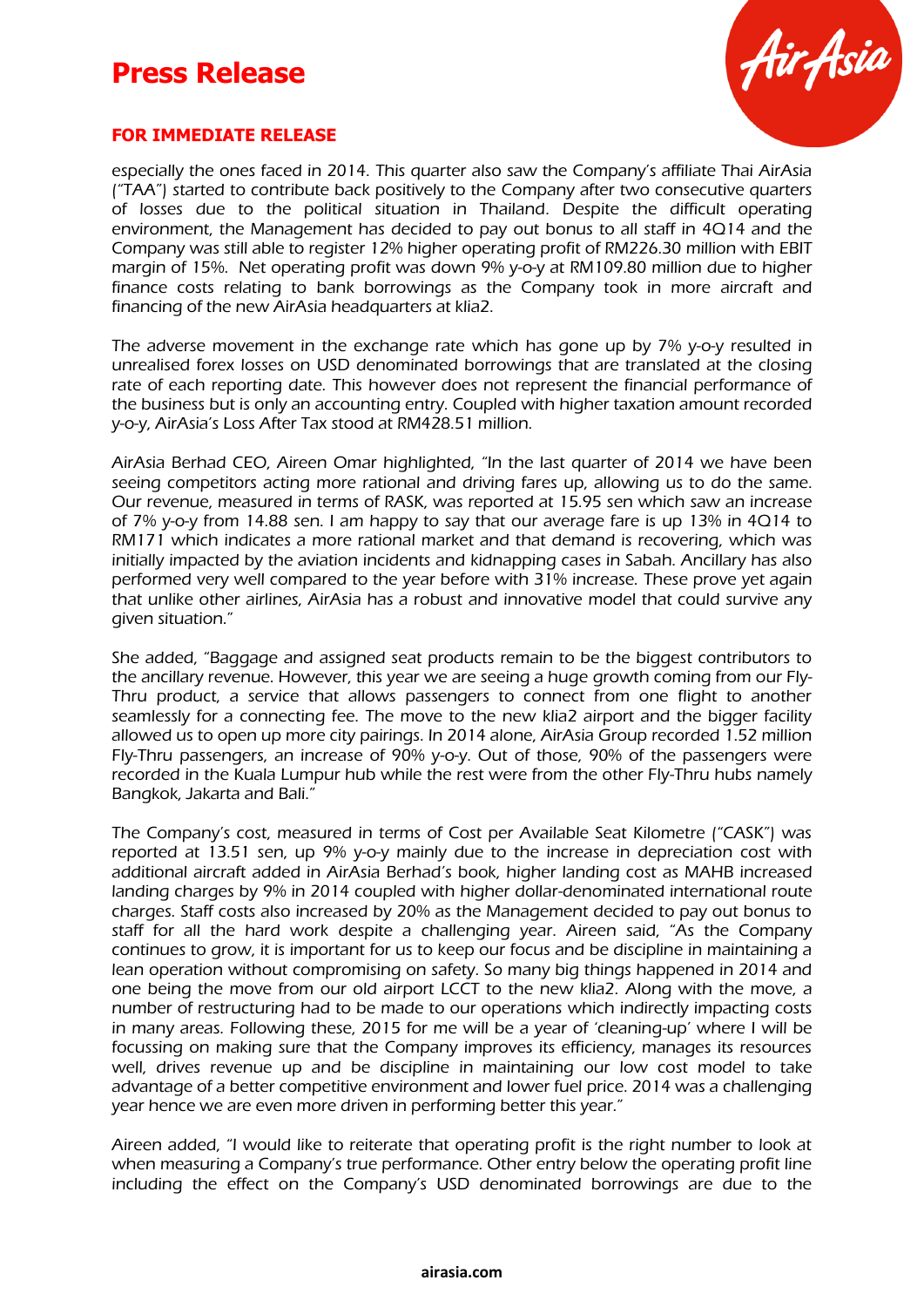

#### **FOR IMMEDIATE RELEASE**

especially the ones faced in 2014. This quarter also saw the Company's affiliate Thai AirAsia ("TAA") started to contribute back positively to the Company after two consecutive quarters of losses due to the political situation in Thailand. Despite the difficult operating environment, the Management has decided to pay out bonus to all staff in 4Q14 and the Company was still able to register 12% higher operating profit of RM226.30 million with EBIT margin of 15%. Net operating profit was down 9% y-o-y at RM109.80 million due to higher finance costs relating to bank borrowings as the Company took in more aircraft and financing of the new AirAsia headquarters at klia2.

The adverse movement in the exchange rate which has gone up by 7% y-o-y resulted in unrealised forex losses on USD denominated borrowings that are translated at the closing rate of each reporting date. This however does not represent the financial performance of the business but is only an accounting entry. Coupled with higher taxation amount recorded y-o-y, AirAsia's Loss After Tax stood at RM428.51 million.

AirAsia Berhad CEO, Aireen Omar highlighted, "In the last quarter of 2014 we have been seeing competitors acting more rational and driving fares up, allowing us to do the same. Our revenue, measured in terms of RASK, was reported at 15.95 sen which saw an increase of 7% y-o-y from 14.88 sen. I am happy to say that our average fare is up 13% in 4Q14 to RM171 which indicates a more rational market and that demand is recovering, which was initially impacted by the aviation incidents and kidnapping cases in Sabah. Ancillary has also performed very well compared to the year before with 31% increase. These prove yet again that unlike other airlines, AirAsia has a robust and innovative model that could survive any given situation."

She added, "Baggage and assigned seat products remain to be the biggest contributors to the ancillary revenue. However, this year we are seeing a huge growth coming from our Fly-Thru product, a service that allows passengers to connect from one flight to another seamlessly for a connecting fee. The move to the new klia2 airport and the bigger facility allowed us to open up more city pairings. In 2014 alone, AirAsia Group recorded 1.52 million Fly-Thru passengers, an increase of 90% y-o-y. Out of those, 90% of the passengers were recorded in the Kuala Lumpur hub while the rest were from the other Fly-Thru hubs namely Bangkok, Jakarta and Bali."

The Company's cost, measured in terms of Cost per Available Seat Kilometre ("CASK") was reported at 13.51 sen, up 9% y-o-y mainly due to the increase in depreciation cost with additional aircraft added in AirAsia Berhad's book, higher landing cost as MAHB increased landing charges by 9% in 2014 coupled with higher dollar-denominated international route charges. Staff costs also increased by 20% as the Management decided to pay out bonus to staff for all the hard work despite a challenging year. Aireen said, "As the Company continues to grow, it is important for us to keep our focus and be discipline in maintaining a lean operation without compromising on safety. So many big things happened in 2014 and one being the move from our old airport LCCT to the new klia2. Along with the move, a number of restructuring had to be made to our operations which indirectly impacting costs in many areas. Following these, 2015 for me will be a year of 'cleaning-up' where I will be focussing on making sure that the Company improves its efficiency, manages its resources well, drives revenue up and be discipline in maintaining our low cost model to take advantage of a better competitive environment and lower fuel price. 2014 was a challenging year hence we are even more driven in performing better this year."

Aireen added, "I would like to reiterate that operating profit is the right number to look at when measuring a Company's true performance. Other entry below the operating profit line including the effect on the Company's USD denominated borrowings are due to the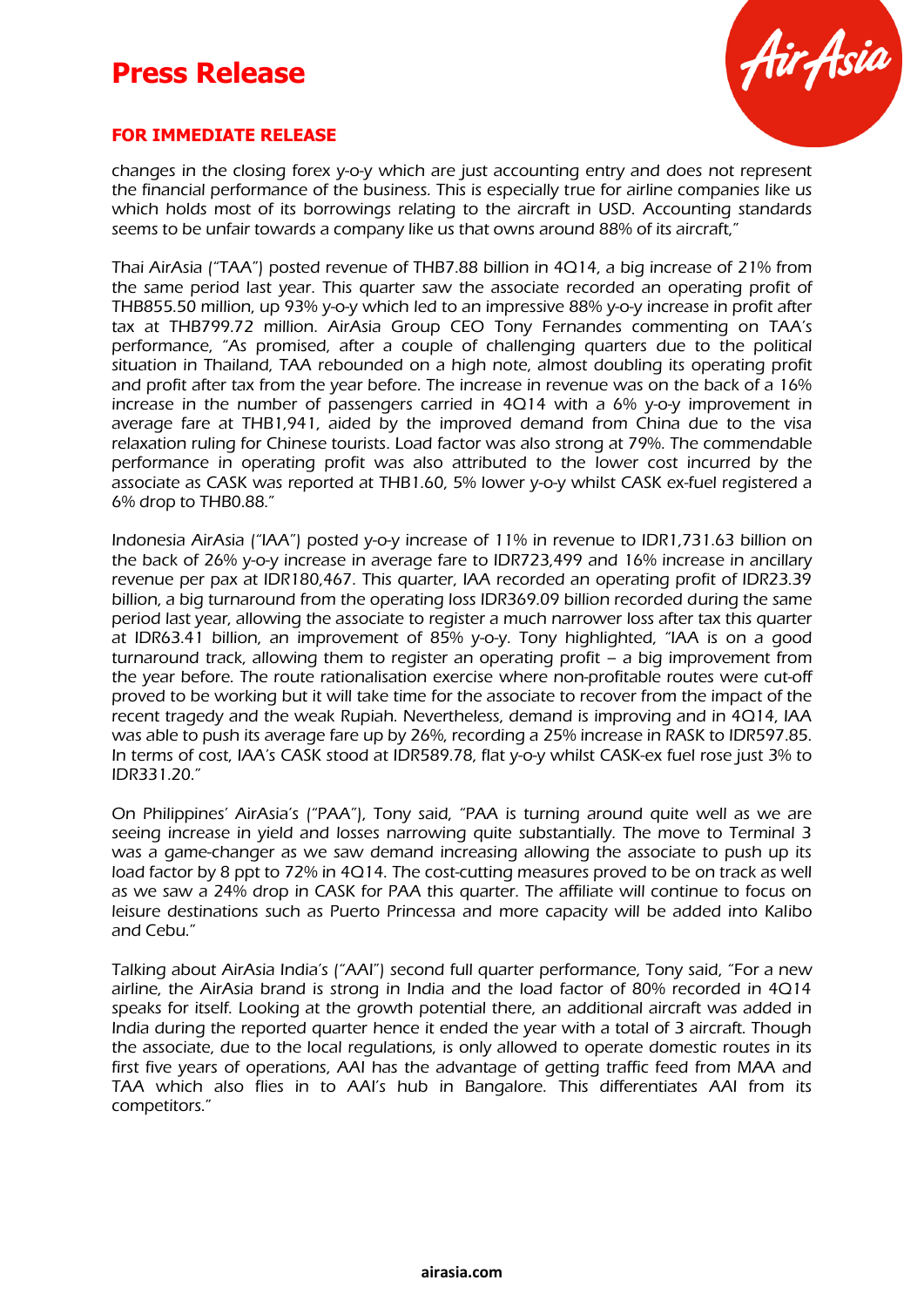

#### **FOR IMMEDIATE RELEASE**

changes in the closing forex y-o-y which are just accounting entry and does not represent the financial performance of the business. This is especially true for airline companies like us which holds most of its borrowings relating to the aircraft in USD. Accounting standards seems to be unfair towards a company like us that owns around 88% of its aircraft,"

Thai AirAsia ("TAA") posted revenue of THB7.88 billion in 4Q14, a big increase of 21% from the same period last year. This quarter saw the associate recorded an operating profit of THB855.50 million, up 93% y-o-y which led to an impressive 88% y-o-y increase in profit after tax at THB799.72 million. AirAsia Group CEO Tony Fernandes commenting on TAA's performance, "As promised, after a couple of challenging quarters due to the political situation in Thailand, TAA rebounded on a high note, almost doubling its operating profit and profit after tax from the year before. The increase in revenue was on the back of a 16% increase in the number of passengers carried in 4Q14 with a 6% y-o-y improvement in average fare at THB1,941, aided by the improved demand from China due to the visa relaxation ruling for Chinese tourists. Load factor was also strong at 79%. The commendable performance in operating profit was also attributed to the lower cost incurred by the associate as CASK was reported at THB1.60, 5% lower y-o-y whilst CASK ex-fuel registered a 6% drop to THB0.88."

Indonesia AirAsia ("IAA") posted y-o-y increase of 11% in revenue to IDR1,731.63 billion on the back of 26% y-o-y increase in average fare to IDR723,499 and 16% increase in ancillary revenue per pax at IDR180,467. This quarter, IAA recorded an operating profit of IDR23.39 billion, a big turnaround from the operating loss IDR369.09 billion recorded during the same period last year, allowing the associate to register a much narrower loss after tax this quarter at IDR63.41 billion, an improvement of 85% y-o-y. Tony highlighted, "IAA is on a good turnaround track, allowing them to register an operating profit – a big improvement from the year before. The route rationalisation exercise where non-profitable routes were cut-off proved to be working but it will take time for the associate to recover from the impact of the recent tragedy and the weak Rupiah. Nevertheless, demand is improving and in 4Q14, IAA was able to push its average fare up by 26%, recording a 25% increase in RASK to IDR597.85. In terms of cost, IAA's CASK stood at IDR589.78, flat y-o-y whilst CASK-ex fuel rose just 3% to IDR331.20."

On Philippines' AirAsia's ("PAA"), Tony said, "PAA is turning around quite well as we are seeing increase in yield and losses narrowing quite substantially. The move to Terminal 3 was a game-changer as we saw demand increasing allowing the associate to push up its load factor by 8 ppt to 72% in 4Q14. The cost-cutting measures proved to be on track as well as we saw a 24% drop in CASK for PAA this quarter. The affiliate will continue to focus on leisure destinations such as Puerto Princessa and more capacity will be added into Kalibo and Cebu."

Talking about AirAsia India's ("AAI") second full quarter performance, Tony said, "For a new airline, the AirAsia brand is strong in India and the load factor of 80% recorded in 4Q14 speaks for itself. Looking at the growth potential there, an additional aircraft was added in India during the reported quarter hence it ended the year with a total of 3 aircraft. Though the associate, due to the local regulations, is only allowed to operate domestic routes in its first five years of operations, AAI has the advantage of getting traffic feed from MAA and TAA which also flies in to AAI's hub in Bangalore. This differentiates AAI from its competitors."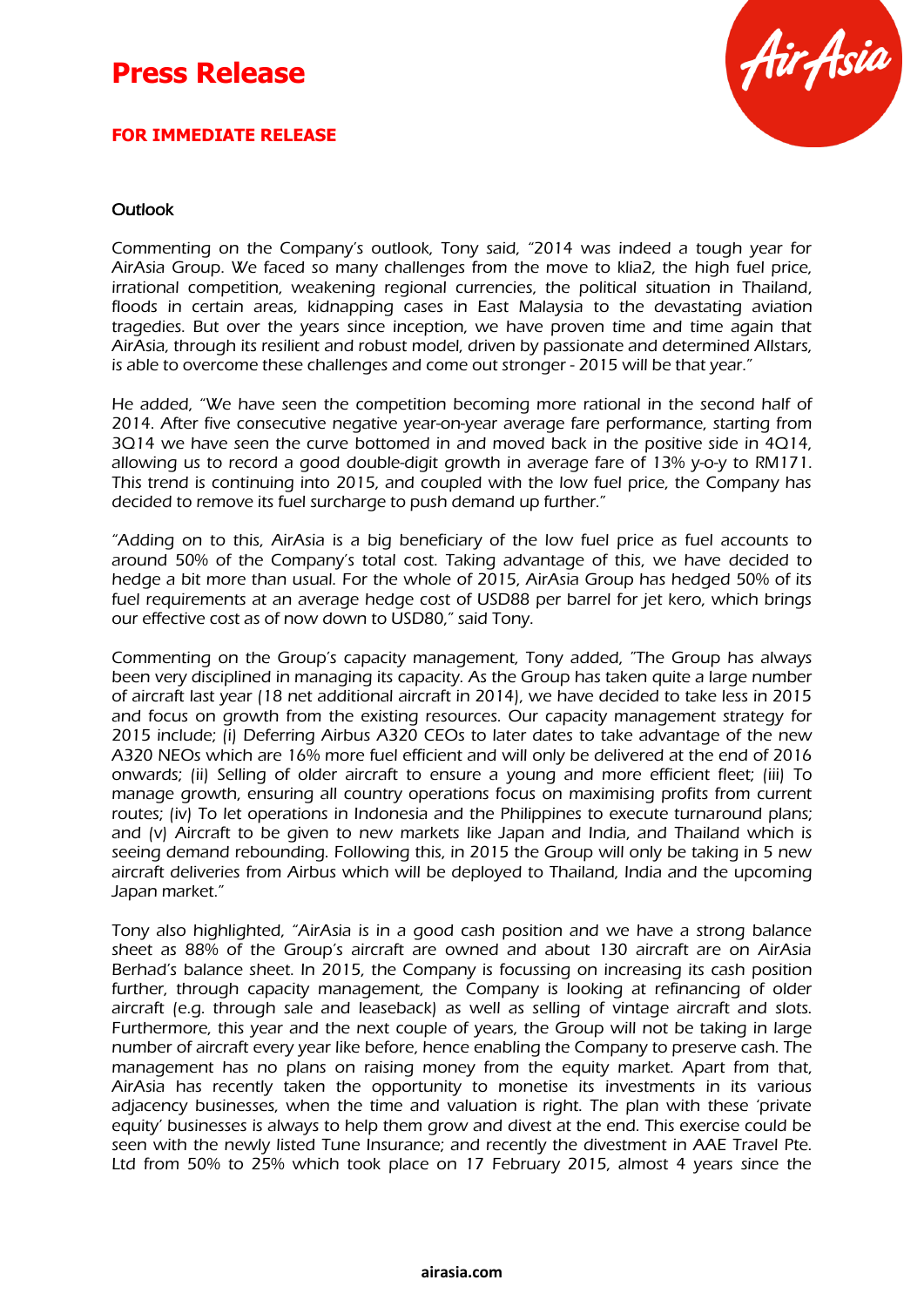### **FOR IMMEDIATE RELEASE**



#### **Outlook**

Commenting on the Company's outlook, Tony said, "2014 was indeed a tough year for AirAsia Group. We faced so many challenges from the move to klia2, the high fuel price, irrational competition, weakening regional currencies, the political situation in Thailand, floods in certain areas, kidnapping cases in East Malaysia to the devastating aviation tragedies. But over the years since inception, we have proven time and time again that AirAsia, through its resilient and robust model, driven by passionate and determined Allstars, is able to overcome these challenges and come out stronger - 2015 will be that year."

He added, "We have seen the competition becoming more rational in the second half of 2014. After five consecutive negative year-on-year average fare performance, starting from 3Q14 we have seen the curve bottomed in and moved back in the positive side in 4Q14, allowing us to record a good double-digit growth in average fare of 13% y-o-y to RM171. This trend is continuing into 2015, and coupled with the low fuel price, the Company has decided to remove its fuel surcharge to push demand up further."

"Adding on to this, AirAsia is a big beneficiary of the low fuel price as fuel accounts to around 50% of the Company's total cost. Taking advantage of this, we have decided to hedge a bit more than usual. For the whole of 2015, AirAsia Group has hedged 50% of its fuel requirements at an average hedge cost of USD88 per barrel for jet kero, which brings our effective cost as of now down to USD80," said Tony.

Commenting on the Group's capacity management, Tony added, "The Group has always been very disciplined in managing its capacity. As the Group has taken quite a large number of aircraft last year (18 net additional aircraft in 2014), we have decided to take less in 2015 and focus on growth from the existing resources. Our capacity management strategy for 2015 include; (i) Deferring Airbus A320 CEOs to later dates to take advantage of the new A320 NEOs which are 16% more fuel efficient and will only be delivered at the end of 2016 onwards; (ii) Selling of older aircraft to ensure a young and more efficient fleet; (iii) To manage growth, ensuring all country operations focus on maximising profits from current routes; (iv) To let operations in Indonesia and the Philippines to execute turnaround plans; and (v) Aircraft to be given to new markets like Japan and India, and Thailand which is seeing demand rebounding. Following this, in 2015 the Group will only be taking in 5 new aircraft deliveries from Airbus which will be deployed to Thailand, India and the upcoming Japan market."

Tony also highlighted, "AirAsia is in a good cash position and we have a strong balance sheet as 88% of the Group's aircraft are owned and about 130 aircraft are on AirAsia Berhad's balance sheet. In 2015, the Company is focussing on increasing its cash position further, through capacity management, the Company is looking at refinancing of older aircraft (e.g. through sale and leaseback) as well as selling of vintage aircraft and slots. Furthermore, this year and the next couple of years, the Group will not be taking in large number of aircraft every year like before, hence enabling the Company to preserve cash. The management has no plans on raising money from the equity market. Apart from that, AirAsia has recently taken the opportunity to monetise its investments in its various adjacency businesses, when the time and valuation is right. The plan with these 'private equity' businesses is always to help them grow and divest at the end. This exercise could be seen with the newly listed Tune Insurance; and recently the divestment in AAE Travel Pte. Ltd from 50% to 25% which took place on 17 February 2015, almost 4 years since the